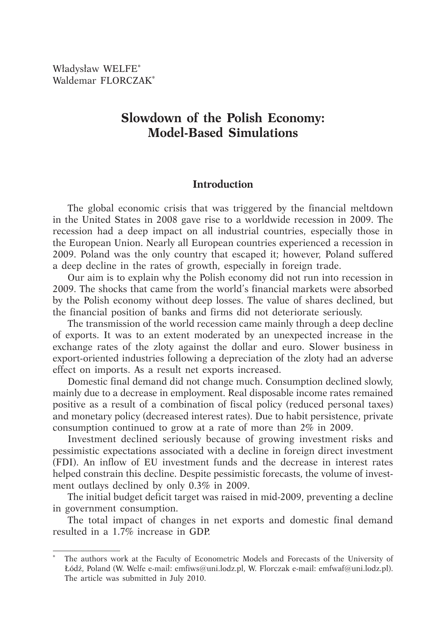Władysław WELFE\* Waldemar FLORCZAK\*

# **Slowdown of the Polish Economy: Model-Based Simulations**

# **Introduction**

The global economic crisis that was triggered by the financial meltdown in the United States in 2008 gave rise to a worldwide recession in 2009. The recession had a deep impact on all industrial countries, especially those in the European Union. Nearly all European countries experienced a recession in 2009. Poland was the only country that escaped it; however, Poland suffered a deep decline in the rates of growth, especially in foreign trade.

Our aim is to explain why the Polish economy did not run into recession in 2009. The shocks that came from the world's financial markets were absorbed by the Polish economy without deep losses. The value of shares declined, but the financial position of banks and firms did not deteriorate seriously.

The transmission of the world recession came mainly through a deep decline of exports. It was to an extent moderated by an unexpected increase in the exchange rates of the zloty against the dollar and euro. Slower business in export-oriented industries following a depreciation of the zloty had an adverse effect on imports. As a result net exports increased.

Domestic final demand did not change much. Consumption declined slowly, mainly due to a decrease in employment. Real disposable income rates remained positive as a result of a combination of fiscal policy (reduced personal taxes) and monetary policy (decreased interest rates). Due to habit persistence, private consumption continued to grow at a rate of more than 2% in 2009.

Investment declined seriously because of growing investment risks and pessimistic expectations associated with a decline in foreign direct investment (FDI). An inflow of EU investment funds and the decrease in interest rates helped constrain this decline. Despite pessimistic forecasts, the volume of investment outlays declined by only 0.3% in 2009.

The initial budget deficit target was raised in mid-2009, preventing a decline in government consumption.

The total impact of changes in net exports and domestic final demand resulted in a 1.7% increase in GDP.

The authors work at the Faculty of Econometric Models and Forecasts of the University of Łódź, Poland (W. Welfe e-mail: emfiws@uni.lodz.pl, W. Florczak e-mail: emfwaf@uni.lodz.pl). The article was submitted in July 2010.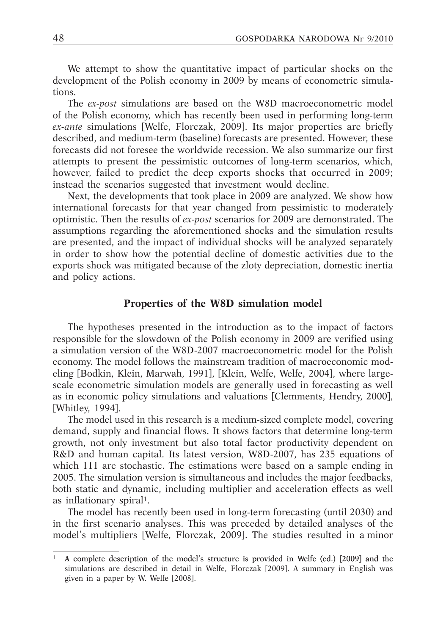We attempt to show the quantitative impact of particular shocks on the development of the Polish economy in 2009 by means of econometric simulations.

The *ex-post* simulations are based on the W8D macroeconometric model of the Polish economy, which has recently been used in performing long-term *ex-ante* simulations [Welfe, Florczak, 2009]. Its major properties are briefly described, and medium-term (baseline) forecasts are presented. However, these forecasts did not foresee the worldwide recession. We also summarize our first attempts to present the pessimistic outcomes of long-term scenarios, which, however, failed to predict the deep exports shocks that occurred in 2009; instead the scenarios suggested that investment would decline.

Next, the developments that took place in 2009 are analyzed. We show how international forecasts for that year changed from pessimistic to moderately optimistic. Then the results of *ex-post* scenarios for 2009 are demonstrated. The assumptions regarding the aforementioned shocks and the simulation results are presented, and the impact of individual shocks will be analyzed separately in order to show how the potential decline of domestic activities due to the exports shock was mitigated because of the zloty depreciation, domestic inertia and policy actions.

#### **Properties of the W8D simulation model**

The hypotheses presented in the introduction as to the impact of factors responsible for the slowdown of the Polish economy in 2009 are verified using a simulation version of the W8D-2007 macroeconometric model for the Polish economy. The model follows the mainstream tradition of macroeconomic modeling [Bodkin, Klein, Marwah, 1991], [Klein, Welfe, Welfe, 2004], where largescale econometric simulation models are generally used in forecasting as well as in economic policy simulations and valuations [Clemments, Hendry, 2000], [Whitley, 1994].

The model used in this research is a medium-sized complete model, covering demand, supply and financial flows. It shows factors that determine long-term growth, not only investment but also total factor productivity dependent on R&D and human capital. Its latest version, W8D-2007, has 235 equations of which 111 are stochastic. The estimations were based on a sample ending in 2005. The simulation version is simultaneous and includes the major feedbacks, both static and dynamic, including multiplier and acceleration effects as well as inflationary spiral1.

The model has recently been used in long-term forecasting (until 2030) and in the first scenario analyses. This was preceded by detailed analyses of the model's multipliers [Welfe, Florczak, 2009]. The studies resulted in a minor

<sup>1</sup> A complete description of the model's structure is provided in Welfe (ed.) [2009] and the simulations are described in detail in Welfe, Florczak [2009]. A summary in English was given in a paper by W. Welfe [2008].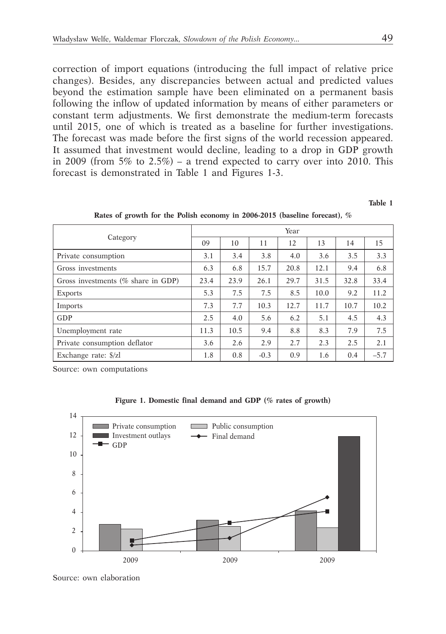correction of import equations (introducing the full impact of relative price changes). Besides, any discrepancies between actual and predicted values beyond the estimation sample have been eliminated on a permanent basis following the inflow of updated information by means of either parameters or constant term adjustments. We first demonstrate the medium-term forecasts until 2015, one of which is treated as a baseline for further investigations. The forecast was made before the first signs of the world recession appeared. It assumed that investment would decline, leading to a drop in GDP growth in 2009 (from  $5\%$  to  $2.5\%)$  – a trend expected to carry over into 2010. This forecast is demonstrated in Table 1 and Figures 1-3.

**Table 1**

|                                        |      |      |        | Year |      |      |        |
|----------------------------------------|------|------|--------|------|------|------|--------|
| Category                               | 09   | 10   | 11     | 12   | 13   | 14   | 15     |
| Private consumption                    | 3.1  | 3.4  | 3.8    | 4.0  | 3.6  | 3.5  | 3.3    |
| Gross investments                      | 6.3  | 6.8  | 15.7   | 20.8 | 12.1 | 9.4  | 6.8    |
| Gross investments ( $\%$ share in GDP) | 23.4 | 23.9 | 26.1   | 29.7 | 31.5 | 32.8 | 33.4   |
| <b>Exports</b>                         | 5.3  | 7.5  | 7.5    | 8.5  | 10.0 | 9.2  | 11.2   |
| Imports                                | 7.3  | 7.7  | 10.3   | 12.7 | 11.7 | 10.7 | 10.2   |
| GDP                                    | 2.5  | 4.0  | 5.6    | 6.2  | 5.1  | 4.5  | 4.3    |
| Unemployment rate                      | 11.3 | 10.5 | 9.4    | 8.8  | 8.3  | 7.9  | 7.5    |
| Private consumption deflator           | 3.6  | 2.6  | 2.9    | 2.7  | 2.3  | 2.5  | 2.1    |
| Exchange rate: \$/zl                   | 1.8  | 0.8  | $-0.3$ | 0.9  | 1.6  | 0.4  | $-5.7$ |

**Rates of growth for the Polish economy in 2006-2015 (baseline forecast), %**

Source: own computations

|  | Figure 1. Domestic final demand and GDP (% rates of growth) |  |  |  |  |  |  |  |  |
|--|-------------------------------------------------------------|--|--|--|--|--|--|--|--|
|--|-------------------------------------------------------------|--|--|--|--|--|--|--|--|

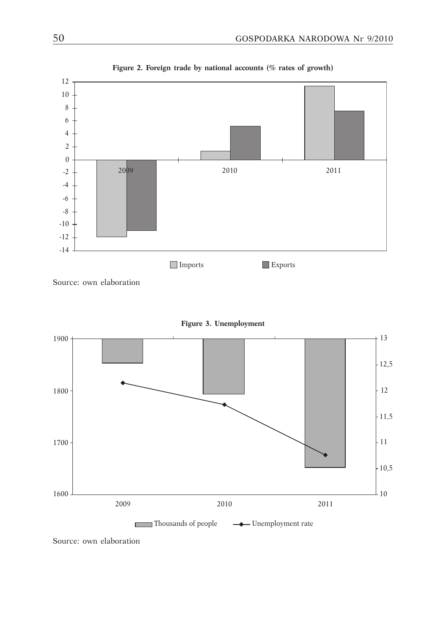

**Figure 2. Foreign trade by national accounts (% rates of growth)**

Source: own elaboration



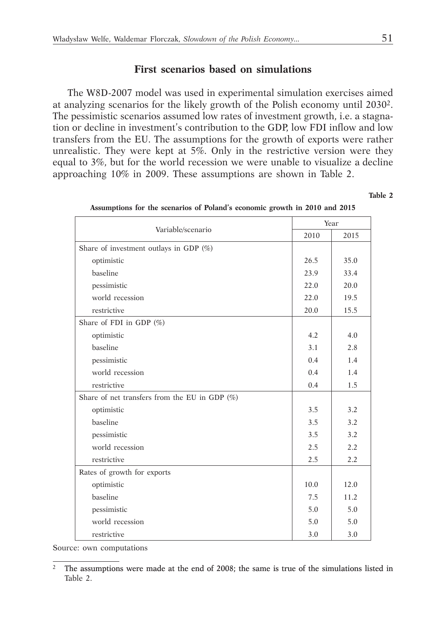### **First scenarios based on simulations**

The W8D-2007 model was used in experimental simulation exercises aimed at analyzing scenarios for the likely growth of the Polish economy until 20302. The pessimistic scenarios assumed low rates of investment growth, i.e. a stagnation or decline in investment's contribution to the GDP, low FDI inflow and low transfers from the EU. The assumptions for the growth of exports were rather unrealistic. They were kept at 5%. Only in the restrictive version were they equal to 3%, but for the world recession we were unable to visualize a decline approaching 10% in 2009. These assumptions are shown in Table 2.

**Table 2**

| Variable/scenario                                |      | Year |
|--------------------------------------------------|------|------|
|                                                  | 2010 | 2015 |
| Share of investment outlays in GDP $(\%)$        |      |      |
| optimistic                                       | 26.5 | 35.0 |
| baseline                                         | 23.9 | 33.4 |
| pessimistic                                      | 22.0 | 20.0 |
| world recession                                  | 22.0 | 19.5 |
| restrictive                                      | 20.0 | 15.5 |
| Share of FDI in GDP (%)                          |      |      |
| optimistic                                       | 4.2  | 4.0  |
| baseline                                         | 3.1  | 2.8  |
| pessimistic                                      | 0.4  | 1.4  |
| world recession                                  | 0.4  | 1.4  |
| restrictive                                      | 0.4  | 1.5  |
| Share of net transfers from the EU in GDP $(\%)$ |      |      |
| optimistic                                       | 3.5  | 3.2  |
| baseline                                         | 3.5  | 3.2  |
| pessimistic                                      | 3.5  | 3.2  |
| world recession                                  | 2.5  | 2.2  |
| restrictive                                      | 2.5  | 2.2  |
| Rates of growth for exports                      |      |      |
| optimistic                                       | 10.0 | 12.0 |
| baseline                                         | 7.5  | 11.2 |
| pessimistic                                      | 5.0  | 5.0  |
| world recession                                  | 5.0  | 5.0  |
| restrictive                                      | 3.0  | 3.0  |

| Assumptions for the scenarios of Poland's economic growth in 2010 and 2015 |  |  |  |  |  |  |  |  |  |  |
|----------------------------------------------------------------------------|--|--|--|--|--|--|--|--|--|--|
|----------------------------------------------------------------------------|--|--|--|--|--|--|--|--|--|--|

Source: own computations

<sup>&</sup>lt;sup>2</sup> The assumptions were made at the end of 2008; the same is true of the simulations listed in Table 2.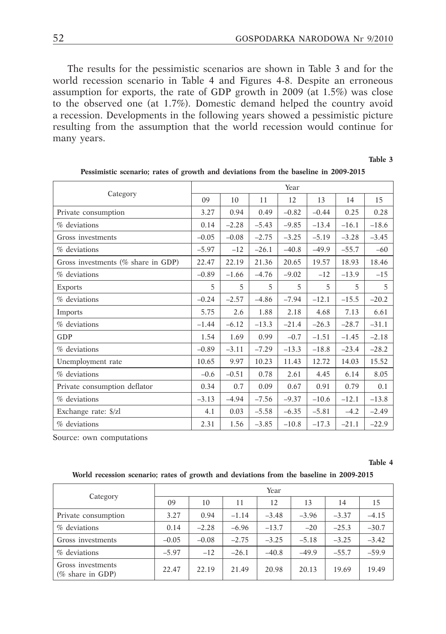The results for the pessimistic scenarios are shown in Table 3 and for the world recession scenario in Table 4 and Figures 4-8. Despite an erroneous assumption for exports, the rate of GDP growth in 2009 (at 1.5%) was close to the observed one (at 1.7%). Domestic demand helped the country avoid a recession. Developments in the following years showed a pessimistic picture resulting from the assumption that the world recession would continue for many years.

**Table 3**

| Category                              |         |         |         | Year    |         |         |         |
|---------------------------------------|---------|---------|---------|---------|---------|---------|---------|
|                                       | 09      | 10      | 11      | 12      | 13      | 14      | 15      |
| Private consumption                   | 3.27    | 0.94    | 0.49    | $-0.82$ | $-0.44$ | 0.25    | 0.28    |
| % deviations                          | 0.14    | $-2.28$ | $-5.43$ | $-9.85$ | $-13.4$ | $-16.1$ | $-18.6$ |
| Gross investments                     | $-0.05$ | $-0.08$ | $-2.75$ | $-3.25$ | $-5.19$ | $-3.28$ | $-3.45$ |
| $%$ deviations                        | $-5.97$ | $-12$   | $-26.1$ | $-40.8$ | $-49.9$ | $-55.7$ | $-60$   |
| Gross investments ( $%$ share in GDP) | 22.47   | 22.19   | 21.36   | 20.65   | 19.57   | 18.93   | 18.46   |
| % deviations                          | $-0.89$ | $-1.66$ | $-4.76$ | $-9.02$ | $-12$   | $-13.9$ | $-15$   |
| <b>Exports</b>                        | 5       | 5       | 5       | 5       | 5       | 5       | 5       |
| % deviations                          | $-0.24$ | $-2.57$ | $-4.86$ | $-7.94$ | $-12.1$ | $-15.5$ | $-20.2$ |
| Imports                               | 5.75    | 2.6     | 1.88    | 2.18    | 4.68    | 7.13    | 6.61    |
| % deviations                          | $-1.44$ | $-6.12$ | $-13.3$ | $-21.4$ | $-26.3$ | $-28.7$ | $-31.1$ |
| GDP                                   | 1.54    | 1.69    | 0.99    | $-0.7$  | $-1.51$ | $-1.45$ | $-2.18$ |
| % deviations                          | $-0.89$ | $-3.11$ | $-7.29$ | $-13.3$ | $-18.8$ | $-23.4$ | $-28.2$ |
| Unemployment rate                     | 10.65   | 9.97    | 10.23   | 11.43   | 12.72   | 14.03   | 15.52   |
| % deviations                          | $-0.6$  | $-0.51$ | 0.78    | 2.61    | 4.45    | 6.14    | 8.05    |
| Private consumption deflator          | 0.34    | 0.7     | 0.09    | 0.67    | 0.91    | 0.79    | 0.1     |
| % deviations                          | $-3.13$ | $-4.94$ | $-7.56$ | $-9.37$ | $-10.6$ | $-12.1$ | $-13.8$ |
| Exchange rate: \$/zl                  | 4.1     | 0.03    | $-5.58$ | $-6.35$ | $-5.81$ | $-4.2$  | $-2.49$ |
| $%$ deviations                        | 2.31    | 1.56    | $-3.85$ | $-10.8$ | $-17.3$ | $-21.1$ | $-22.9$ |

| Pessimistic scenario; rates of growth and deviations from the baseline in 2009-2015 |  |  |  |  |  |  |
|-------------------------------------------------------------------------------------|--|--|--|--|--|--|
|-------------------------------------------------------------------------------------|--|--|--|--|--|--|

Source: own computations

**Table 4**

#### **World recession scenario; rates of growth and deviations from the baseline in 2009-2015**

| Category                                 | Year    |         |         |         |         |         |         |  |  |
|------------------------------------------|---------|---------|---------|---------|---------|---------|---------|--|--|
|                                          | 09      | 10      | 11      | 12      | 13      | 14      | 15      |  |  |
| Private consumption                      | 3.27    | 0.94    | $-1.14$ | $-3.48$ | $-3.96$ | $-3.37$ | $-4.15$ |  |  |
| % deviations                             | 0.14    | $-2.28$ | $-6.96$ | $-13.7$ | $-20$   | $-25.3$ | $-30.7$ |  |  |
| Gross investments                        | $-0.05$ | $-0.08$ | $-2.75$ | $-3.25$ | $-5.18$ | $-3.25$ | $-3.42$ |  |  |
| % deviations                             | $-5.97$ | $-12$   | $-26.1$ | $-40.8$ | $-49.9$ | $-55.7$ | $-59.9$ |  |  |
| Gross investments<br>( $%$ share in GDP) | 22.47   | 22.19   | 21.49   | 20.98   | 20.13   | 19.69   | 19.49   |  |  |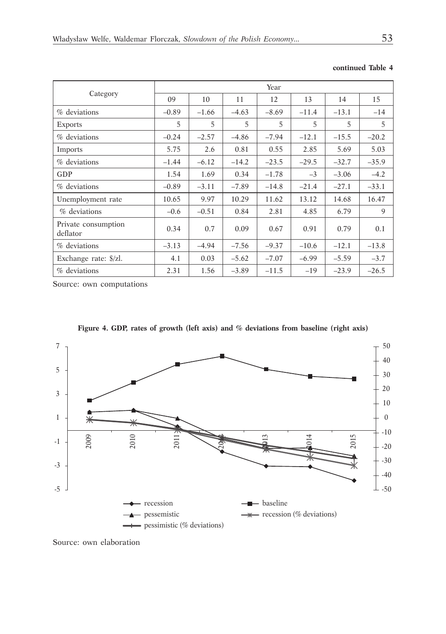|                                 |         |                |         | Year    |         |         |         |
|---------------------------------|---------|----------------|---------|---------|---------|---------|---------|
| Category                        | 09      | 10             | 11      | 12      | 13      | 14      | 15      |
| $%$ deviations                  | $-0.89$ | $-1.66$        | $-4.63$ | $-8.69$ | $-11.4$ | $-13.1$ | $-14$   |
| <b>Exports</b>                  | 5       | $\overline{2}$ | 5       | 5       | 5       | 5       | 5       |
| % deviations                    | $-0.24$ | $-2.57$        | $-4.86$ | $-7.94$ | $-12.1$ | $-15.5$ | $-20.2$ |
| Imports                         | 5.75    | 2.6            | 0.81    | 0.55    | 2.85    | 5.69    | 5.03    |
| % deviations                    | $-1.44$ | $-6.12$        | $-14.2$ | $-23.5$ | $-29.5$ | $-32.7$ | $-35.9$ |
| GDP                             | 1.54    | 1.69           | 0.34    | $-1.78$ | $-3$    | $-3.06$ | $-4.2$  |
| % deviations                    | $-0.89$ | $-3.11$        | $-7.89$ | $-14.8$ | $-21.4$ | $-27.1$ | $-33.1$ |
| Unemployment rate               | 10.65   | 9.97           | 10.29   | 11.62   | 13.12   | 14.68   | 16.47   |
| % deviations                    | $-0.6$  | $-0.51$        | 0.84    | 2.81    | 4.85    | 6.79    | 9       |
| Private consumption<br>deflator | 0.34    | 0.7            | 0.09    | 0.67    | 0.91    | 0.79    | 0.1     |
| % deviations                    | $-3.13$ | $-4.94$        | $-7.56$ | $-9.37$ | $-10.6$ | $-12.1$ | $-13.8$ |
| Exchange rate: \$/zl.           | 4.1     | 0.03           | $-5.62$ | $-7.07$ | $-6.99$ | $-5.59$ | $-3.7$  |
| % deviations                    | 2.31    | 1.56           | $-3.89$ | $-11.5$ | $-19$   | $-23.9$ | $-26.5$ |

#### **continued Table 4**

Source: own computations



**Figure 4. GDP, rates of growth (left axis) and % deviations from baseline (right axis)**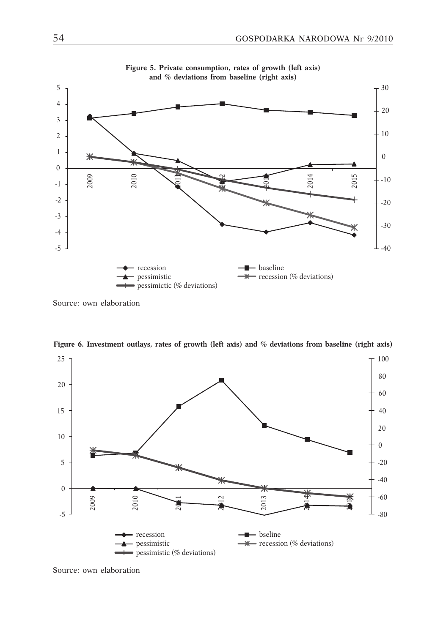

**Figure 5. Private consumption, rates of growth (left axis) and % deviations from baseline (right axis)**

Source: own elaboration



**Figure 6. Investment outlays, rates of growth (left axis) and % deviations from baseline (right axis)**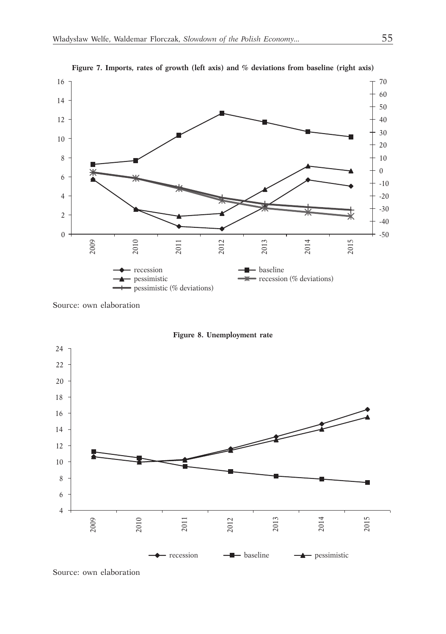

**Figure 7. Imports, rates of growth (left axis) and % deviations from baseline (right axis)**

Source: own elaboration



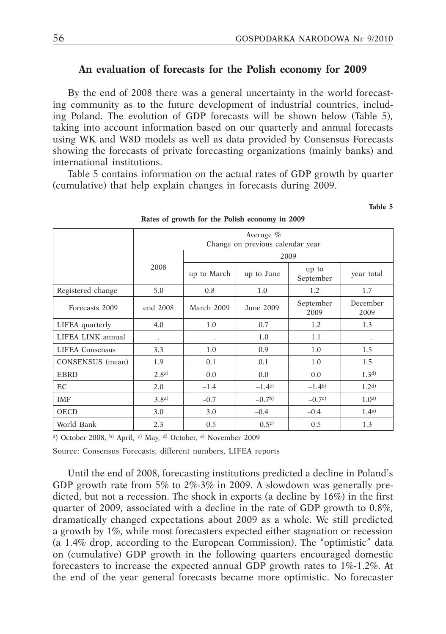**Table 5**

### **An evaluation of forecasts for the Polish economy for 2009**

By the end of 2008 there was a general uncertainty in the world forecasting community as to the future development of industrial countries, including Poland. The evolution of GDP forecasts will be shown below (Table 5), taking into account information based on our quarterly and annual forecasts using WK and W8D models as well as data provided by Consensus Forecasts showing the forecasts of private forecasting organizations (mainly banks) and international institutions.

Table 5 contains information on the actual rates of GDP growth by quarter (cumulative) that help explain changes in forecasts during 2009.

|                        |           | Average $%$<br>Change on previous calendar year |           |                    |                  |  |  |  |  |  |
|------------------------|-----------|-------------------------------------------------|-----------|--------------------|------------------|--|--|--|--|--|
|                        |           |                                                 |           | 2009               |                  |  |  |  |  |  |
|                        | 2008      | up to March<br>up to June                       |           | up to<br>September | year total       |  |  |  |  |  |
| Registered change      | 5.0       | 0.8                                             | 1.0       | 1.2                | 1.7              |  |  |  |  |  |
| Forecasts 2009         | end 2008  | March 2009                                      | June 2009 | September<br>2009  | December<br>2009 |  |  |  |  |  |
| LIFEA quarterly        | 4.0       | 1.0                                             | 0.7       | 1.2                | 1.3              |  |  |  |  |  |
| LIFEA LINK annual      | $\bullet$ |                                                 | 1.0       | 1.1                |                  |  |  |  |  |  |
| <b>LIFEA</b> Consensus | 3.3       | 1.0                                             | 0.9       | 1.0                | 1.5              |  |  |  |  |  |
| CONSENSUS (mean)       | 1.9       | 0.1                                             | 0.1       | 1.0                | 1.5              |  |  |  |  |  |
| <b>EBRD</b>            | 2.8a)     | 0.0                                             | 0.0       | 0.0                | 1.3 <sup>d</sup> |  |  |  |  |  |
| EC                     | 2.0       | $-1.4$                                          | $-1.4c$   | $-1.4b$            | 1.2 <sup>d</sup> |  |  |  |  |  |
| <b>IMF</b>             | 3.8a)     | $-0.7$                                          | $-0.7b$   | $-0.7c$            | 1.0 <sup>a</sup> |  |  |  |  |  |
| <b>OECD</b>            | 3.0       | 3.0                                             | $-0.4$    | $-0.4$             | 1.4a)            |  |  |  |  |  |
| World Bank             | 2.3       | 0.5                                             | 0.5c      | 0.5                | 1.3              |  |  |  |  |  |

#### **Rates of growth for the Polish economy in 2009**

<sup>a</sup>) October 2008, b) April, c) May, d) October, e) November 2009

Source: Consensus Forecasts, different numbers, LIFEA reports

Until the end of 2008, forecasting institutions predicted a decline in Poland's GDP growth rate from 5% to  $2\% - 3\%$  in 2009. A slowdown was generally predicted, but not a recession. The shock in exports (a decline by 16%) in the first quarter of 2009, associated with a decline in the rate of GDP growth to 0.8%, dramatically changed expectations about 2009 as a whole. We still predicted a growth by 1%, while most forecasters expected either stagnation or recession (a 1.4% drop, according to the European Commission). The "optimistic" data on (cumulative) GDP growth in the following quarters encouraged domestic forecasters to increase the expected annual GDP growth rates to 1%-1.2%. At the end of the year general forecasts became more optimistic. No forecaster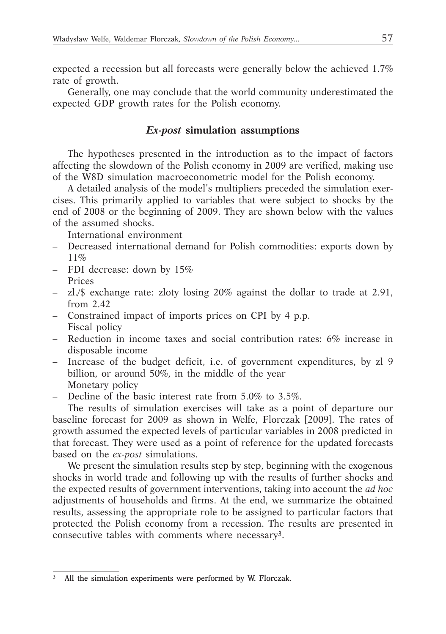expected a recession but all forecasts were generally below the achieved 1.7% rate of growth.

Generally, one may conclude that the world community underestimated the expected GDP growth rates for the Polish economy.

# *Ex-post* **simulation assumptions**

The hypotheses presented in the introduction as to the impact of factors affecting the slowdown of the Polish economy in 2009 are verified, making use of the W8D simulation macroeconometric model for the Polish economy.

A detailed analysis of the model's multipliers preceded the simulation exercises. This primarily applied to variables that were subject to shocks by the end of 2008 or the beginning of 2009. They are shown below with the values of the assumed shocks.

International environment

- Decreased international demand for Polish commodities: exports down by 11%
- FDI decrease: down by 15% Prices
- zl./\$ exchange rate: zloty losing 20% against the dollar to trade at 2.91, from 2.42
- Constrained impact of imports prices on CPI by 4 p.p. Fiscal policy
- Reduction in income taxes and social contribution rates: 6% increase in disposable income
- Increase of the budget deficit, i.e. of government expenditures, by zl 9 billion, or around 50%, in the middle of the year Monetary policy
- Decline of the basic interest rate from 5.0% to 3.5%.

The results of simulation exercises will take as a point of departure our baseline forecast for 2009 as shown in Welfe, Florczak [2009]. The rates of growth assumed the expected levels of particular variables in 2008 predicted in that forecast. They were used as a point of reference for the updated forecasts based on the *ex-post* simulations.

We present the simulation results step by step, beginning with the exogenous shocks in world trade and following up with the results of further shocks and the expected results of government interventions, taking into account the *ad hoc* adjustments of households and firms. At the end, we summarize the obtained results, assessing the appropriate role to be assigned to particular factors that protected the Polish economy from a recession. The results are presented in consecutive tables with comments where necessary<sup>3</sup>.

All the simulation experiments were performed by W. Florczak.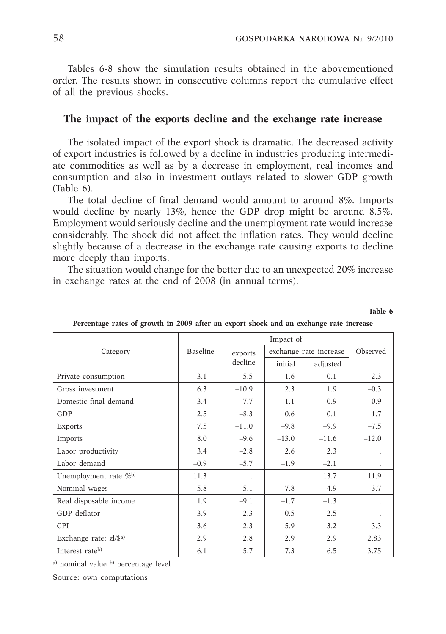**Table 6**

Tables 6-8 show the simulation results obtained in the abovementioned order. The results shown in consecutive columns report the cumulative effect of all the previous shocks.

### **The impact of the exports decline and the exchange rate increase**

The isolated impact of the export shock is dramatic. The decreased activity of export industries is followed by a decline in industries producing intermediate commodities as well as by a decrease in employment, real incomes and consumption and also in investment outlays related to slower GDP growth (Table 6).

The total decline of final demand would amount to around 8%. Imports would decline by nearly 13%, hence the GDP drop might be around 8.5%. Employment would seriously decline and the unemployment rate would increase considerably. The shock did not affect the inflation rates. They would decline slightly because of a decrease in the exchange rate causing exports to decline more deeply than imports.

The situation would change for the better due to an unexpected 20% increase in exchange rates at the end of 2008 (in annual terms).

|                                       |                 |         | Impact of |                        |          |  |
|---------------------------------------|-----------------|---------|-----------|------------------------|----------|--|
| Category                              | <b>Baseline</b> | exports |           | exchange rate increase | Observed |  |
|                                       |                 | decline | initial   | adjusted               |          |  |
| Private consumption                   | 3.1             | $-5.5$  | $-1.6$    | $-0.1$                 | 2.3      |  |
| Gross investment                      | 6.3             | $-10.9$ | 2.3       | 1.9                    | $-0.3$   |  |
| Domestic final demand                 | 3.4             | $-7.7$  | $-1.1$    | $-0.9$                 | $-0.9$   |  |
| GDP                                   | 2.5             | $-8.3$  | 0.6       | 0.1                    | 1.7      |  |
| Exports                               | 7.5             | $-11.0$ | $-9.8$    | $-9.9$                 | $-7.5$   |  |
| Imports                               | 8.0             | $-9.6$  | $-13.0$   | $-11.6$                | $-12.0$  |  |
| Labor productivity                    | 3.4             | $-2.8$  | 2.6       | 2.3                    |          |  |
| Labor demand                          | $-0.9$          | $-5.7$  | $-1.9$    | $-2.1$                 |          |  |
| Unemployment rate $\%$ <sup>b)</sup>  | 11.3            |         |           | 13.7                   | 11.9     |  |
| Nominal wages                         | 5.8             | $-5.1$  | 7.8       | 4.9                    | 3.7      |  |
| Real disposable income                | 1.9             | $-9.1$  | $-1.7$    | $-1.3$                 |          |  |
| GDP deflator                          | 3.9             | 2.3     | 0.5       | 2.5                    |          |  |
| <b>CPI</b>                            | 3.6             | 2.3     | 5.9       | 3.2                    | 3.3      |  |
| Exchange rate: $z$ l/\$ <sup>a)</sup> | 2.9             | 2.8     | 2.9       | 2.9                    | 2.83     |  |
| Interest rateb)                       | 6.1             | 5.7     | 7.3       | 6.5                    | 3.75     |  |

**Percentage rates of growth in 2009 after an export shock and an exchange rate increase**

a) nominal value b) percentage level

Source: own computations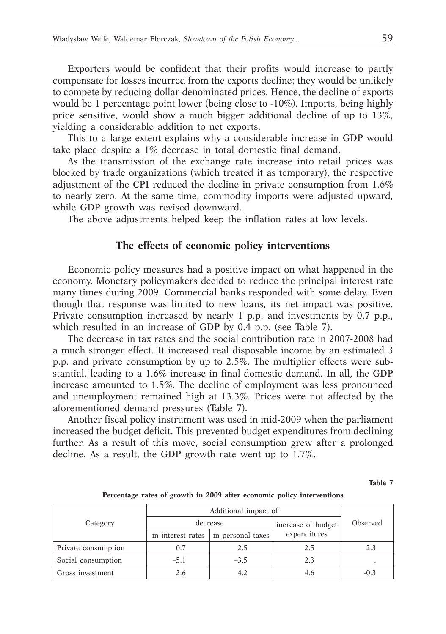Exporters would be confident that their profits would increase to partly compensate for losses incurred from the exports decline; they would be unlikely to compete by reducing dollar-denominated prices. Hence, the decline of exports would be 1 percentage point lower (being close to -10%). Imports, being highly price sensitive, would show a much bigger additional decline of up to 13%, yielding a considerable addition to net exports.

This to a large extent explains why a considerable increase in GDP would take place despite a 1% decrease in total domestic final demand.

As the transmission of the exchange rate increase into retail prices was blocked by trade organizations (which treated it as temporary), the respective adjustment of the CPI reduced the decline in private consumption from 1.6% to nearly zero. At the same time, commodity imports were adjusted upward, while GDP growth was revised downward.

The above adjustments helped keep the inflation rates at low levels.

### **The effects of economic policy interventions**

Economic policy measures had a positive impact on what happened in the economy. Monetary policymakers decided to reduce the principal interest rate many times during 2009. Commercial banks responded with some delay. Even though that response was limited to new loans, its net impact was positive. Private consumption increased by nearly 1 p.p. and investments by 0.7 p.p., which resulted in an increase of GDP by 0.4 p.p. (see Table 7).

The decrease in tax rates and the social contribution rate in 2007-2008 had a much stronger effect. It increased real disposable income by an estimated 3 p.p. and private consumption by up to 2.5%. The multiplier effects were substantial, leading to a 1.6% increase in final domestic demand. In all, the GDP increase amounted to 1.5%. The decline of employment was less pronounced and unemployment remained high at 13.3%. Prices were not affected by the aforementioned demand pressures (Table 7).

Another fiscal policy instrument was used in mid-2009 when the parliament increased the budget deficit. This prevented budget expenditures from declining further. As a result of this move, social consumption grew after a prolonged decline. As a result, the GDP growth rate went up to 1.7%.

**Table 7**

| Category            |                   | Additional impact of |                    |          |  |  |  |  |
|---------------------|-------------------|----------------------|--------------------|----------|--|--|--|--|
|                     |                   | decrease             | increase of budget | Observed |  |  |  |  |
|                     | in interest rates | in personal taxes    | expenditures       |          |  |  |  |  |
| Private consumption | 0.7               | 2.5                  | 2.5                | 2.3      |  |  |  |  |
| Social consumption  | $-5.1$            | $-3.5$               | 2.3                |          |  |  |  |  |
| Gross investment    | 2.6               |                      | 4.6                | $-0.3$   |  |  |  |  |

**Percentage rates of growth in 2009 after economic policy interventions**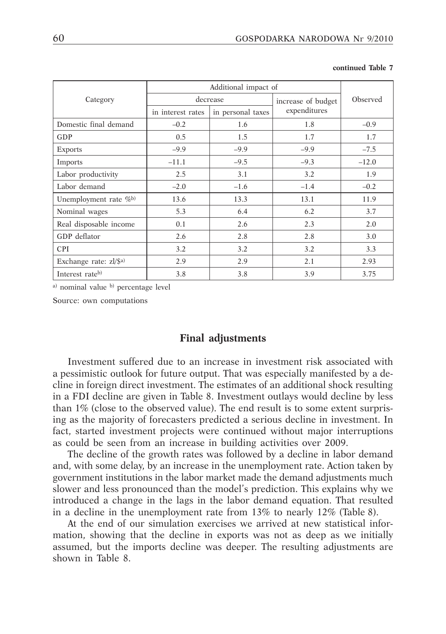|                                       |                   | Additional impact of |                    |          |  |  |  |
|---------------------------------------|-------------------|----------------------|--------------------|----------|--|--|--|
| Category                              |                   | decrease             | increase of budget | Observed |  |  |  |
|                                       | in interest rates | in personal taxes    | expenditures       |          |  |  |  |
| Domestic final demand                 | $-0.2$            | 1.6                  | 1.8                | $-0.9$   |  |  |  |
| GDP                                   | 0.5               | 1.5                  | 1.7                | 1.7      |  |  |  |
| <b>Exports</b>                        | $-9.9$            | $-9.9$               | $-9.9$             | $-7.5$   |  |  |  |
| <b>Imports</b>                        | $-11.1$           | $-9.5$               | $-9.3$             | $-12.0$  |  |  |  |
| Labor productivity                    | 2.5               | 3.1                  | 3.2                | 1.9      |  |  |  |
| Labor demand                          | $-2.0$            | $-1.6$               | $-1.4$             | $-0.2$   |  |  |  |
| Unemployment rate $\%$ <sup>b)</sup>  | 13.6              | 13.3                 | 13.1               | 11.9     |  |  |  |
| Nominal wages                         | 5.3               | 6.4                  | 6.2                | 3.7      |  |  |  |
| Real disposable income                | 0.1               | 2.6                  | 2.3                | 2.0      |  |  |  |
| GDP deflator                          | 2.6               | 2.8                  | 2.8                | 3.0      |  |  |  |
| <b>CPI</b>                            | 3.2               | 3.2                  | 3.2                | 3.3      |  |  |  |
| Exchange rate: $z$ l/\$ <sup>a)</sup> | 2.9               | 2.9                  | 2.1                | 2.93     |  |  |  |
| Interest rateb)                       | 3.8               | 3.8                  | 3.9                | 3.75     |  |  |  |

#### **continued Table 7**

a) nominal value b) percentage level

Source: own computations

#### **Final adjustments**

Investment suffered due to an increase in investment risk associated with a pessimistic outlook for future output. That was especially manifested by a decline in foreign direct investment. The estimates of an additional shock resulting in a FDI decline are given in Table 8. Investment outlays would decline by less than 1% (close to the observed value). The end result is to some extent surprising as the majority of forecasters predicted a serious decline in investment. In fact, started investment projects were continued without major interruptions as could be seen from an increase in building activities over 2009.

The decline of the growth rates was followed by a decline in labor demand and, with some delay, by an increase in the unemployment rate. Action taken by government institutions in the labor market made the demand adjustments much slower and less pronounced than the model's prediction. This explains why we introduced a change in the lags in the labor demand equation. That resulted in a decline in the unemployment rate from 13% to nearly 12% (Table 8).

At the end of our simulation exercises we arrived at new statistical information, showing that the decline in exports was not as deep as we initially assumed, but the imports decline was deeper. The resulting adjustments are shown in Table 8.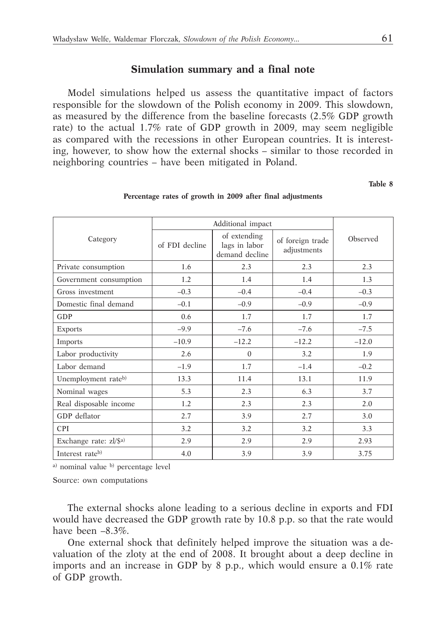#### **Simulation summary and a final note**

Model simulations helped us assess the quantitative impact of factors responsible for the slowdown of the Polish economy in 2009. This slowdown, as measured by the difference from the baseline forecasts (2.5% GDP growth rate) to the actual 1.7% rate of GDP growth in 2009, may seem negligible as compared with the recessions in other European countries. It is interesting, however, to show how the external shocks – similar to those recorded in neighboring countries – have been mitigated in Poland.

**Table 8**

| Category               | of extending<br>of FDI decline<br>lags in labor<br>adjustments<br>demand decline |          | of foreign trade | Observed |  |
|------------------------|----------------------------------------------------------------------------------|----------|------------------|----------|--|
| Private consumption    | 1.6                                                                              | 2.3      | 2.3              | 2.3      |  |
| Government consumption | 1.2                                                                              | 1.4      | 1.4              | 1.3      |  |
| Gross investment       | $-0.3$                                                                           | $-0.4$   | $-0.4$           | $-0.3$   |  |
| Domestic final demand  | $-0.1$                                                                           | $-0.9$   | $-0.9$           | $-0.9$   |  |
| GDP                    | 0.6                                                                              | 1.7      | 1.7              | 1.7      |  |
| <b>Exports</b>         | $-9.9$                                                                           | $-7.6$   | $-7.6$           | $-7.5$   |  |
| Imports                | $-10.9$                                                                          | $-12.2$  | $-12.2$          | $-12.0$  |  |
| Labor productivity     | 2.6                                                                              | $\Omega$ | 3.2              | 1.9      |  |
| Labor demand           | $-1.9$                                                                           | 1.7      | $-1.4$           | $-0.2$   |  |
| Unemployment rateb)    | 13.3                                                                             | 11.4     | 13.1             | 11.9     |  |
| Nominal wages          | 5.3                                                                              | 2.3      | 6.3              | 3.7      |  |
| Real disposable income | 1.2                                                                              | 2.3      | 2.3              | 2.0      |  |
| GDP deflator           | 2.7                                                                              | 3.9      | 2.7              | 3.0      |  |
| <b>CPI</b>             | 3.2                                                                              | 3.2      | 3.2              | 3.3      |  |
| Exchange rate: zl/\$a) | 2.9                                                                              | 2.9      | 2.9              | 2.93     |  |
| Interest rateb)        | 4.0                                                                              | 3.9      | 3.9              | 3.75     |  |

#### **Percentage rates of growth in 2009 after final adjustments**

a) nominal value b) percentage level

Source: own computations

The external shocks alone leading to a serious decline in exports and FDI would have decreased the GDP growth rate by 10.8 p.p. so that the rate would have been –8.3%.

One external shock that definitely helped improve the situation was a devaluation of the zloty at the end of 2008. It brought about a deep decline in imports and an increase in GDP by 8 p.p., which would ensure a 0.1% rate of GDP growth.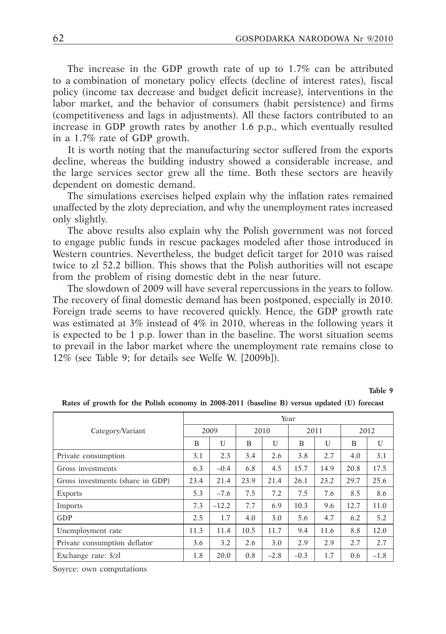The increase in the GDP growth rate of up to 1.7% can be attributed to a combination of monetary policy effects (decline of interest rates), fiscal policy (income tax decrease and budget deficit increase), interventions in the labor market, and the behavior of consumers (habit persistence) and firms (competitiveness and lags in adjustments). All these factors contributed to an increase in GDP growth rates by another 1.6 p.p., which eventually resulted in a 1.7% rate of GDP growth.

It is worth noting that the manufacturing sector suffered from the exports decline, whereas the building industry showed a considerable increase, and the large services sector grew all the time. Both these sectors are heavily dependent on domestic demand.

The simulations exercises helped explain why the inflation rates remained unaffected by the zloty depreciation, and why the unemployment rates increased only slightly.

The above results also explain why the Polish government was not forced to engage public funds in rescue packages modeled after those introduced in Western countries. Nevertheless, the budget deficit target for 2010 was raised twice to zl 52.2 billion. This shows that the Polish authorities will not escape from the problem of rising domestic debt in the near future.

The slowdown of 2009 will have several repercussions in the years to follow. The recovery of final domestic demand has been postponed, especially in 2010. Foreign trade seems to have recovered quickly. Hence, the GDP growth rate was estimated at 3% instead of 4% in 2010, whereas in the following years it is expected to be 1 p.p. lower than in the baseline. The worst situation seems to prevail in the labor market where the unemployment rate remains close to 12% (see Table 9; for details see Welfe W. [2009b]).

**Table 9**

|                                  | Year |         |      |              |        |      |      |        |  |  |
|----------------------------------|------|---------|------|--------------|--------|------|------|--------|--|--|
| Category/Variant                 | 2009 |         | 2010 |              | 2011   |      | 2012 |        |  |  |
|                                  | B    | U       | B    | $\mathbf{U}$ | B      | U    | B    | U      |  |  |
| Private consumption              | 3.1  | 2.3     | 3.4  | 2.6          | 3.8    | 2.7  | 4.0  | 3.1    |  |  |
| Gross investments                | 6.3  | $-0.4$  | 6.8  | 4.5          | 15.7   | 14.9 | 20.8 | 17.5   |  |  |
| Gross investments (share in GDP) | 23.4 | 21.4    | 23.9 | 21.4         | 26.1   | 23.2 | 29.7 | 25.6   |  |  |
| <b>Exports</b>                   | 5.3  | $-7.6$  | 7.5  | 7.2          | 7.5    | 7.6  | 8.5  | 8.6    |  |  |
| <b>Imports</b>                   | 7.3  | $-12.2$ | 7.7  | 6.9          | 10.3   | 9.6  | 12.7 | 11.0   |  |  |
| GDP                              | 2.5  | 1.7     | 4.0  | 3.0          | 5.6    | 4.7  | 6.2  | 5.2    |  |  |
| Unemployment rate                | 11.3 | 11.4    | 10.5 | 11.7         | 9.4    | 11.6 | 8.8  | 12.0   |  |  |
| Private consumption deflator     | 3.6  | 3.2     | 2.6  | 3.0          | 2.9    | 2.9  | 2.7  | 2.7    |  |  |
| Exchange rate: \$/zl             | 1.8  | 20.0    | 0.8  | $-2.8$       | $-0.3$ | 1.7  | 0.6  | $-1.8$ |  |  |

**Rates of growth for the Polish economy in 2008-2011 (baseline B) versus updated (U) forecast**

Soyrce: own computations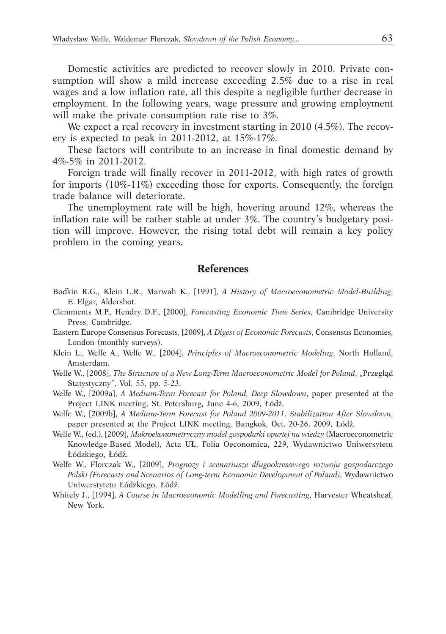Domestic activities are predicted to recover slowly in 2010. Private consumption will show a mild increase exceeding 2.5% due to a rise in real wages and a low inflation rate, all this despite a negligible further decrease in employment. In the following years, wage pressure and growing employment will make the private consumption rate rise to 3%.

We expect a real recovery in investment starting in 2010 (4.5%). The recovery is expected to peak in 2011-2012, at 15%-17%.

These factors will contribute to an increase in final domestic demand by 4%-5% in 2011-2012.

Foreign trade will finally recover in 2011-2012, with high rates of growth for imports (10%-11%) exceeding those for exports. Consequently, the foreign trade balance will deteriorate.

The unemployment rate will be high, hovering around 12%, whereas the inflation rate will be rather stable at under 3%. The country's budgetary position will improve. However, the rising total debt will remain a key policy problem in the coming years.

#### **References**

- Bodkin R.G., Klein L.R., Marwah K., [1991], *A History of Macroeconometric Model-Building*, E. Elgar, Aldershot.
- Clemments M.P., Hendry D.F., [2000], *Forecasting Economic Time Series*, Cambridge University Press, Cambridge.
- Eastern Europe Consensus Forecasts, [2009], *A Digest of Economic Forecasts*, Consensus Economies, London (monthly surveys).
- Klein L., Welfe A., Welfe W., [2004], *Principles of Macroeconometric Modeling*, North Holland, Amsterdam.
- Welfe W., [2008], *The Structure of a New Long-Term Macroeconometric Model for Poland*, "Przegląd Statystyczny", Vol. 55, pp. 5-23.
- Welfe W., [2009a], *A Medium-Term Forecast for Poland, Deep Slowdown*, paper presented at the Project LINK meeting, St. Petersburg, June 4-6, 2009, Łódź.
- Welfe W., [2009b], *A Medium-Term Forecast for Poland 2009-2011. Stabilization After Slowdown*, paper presented at the Project LINK meeting, Bangkok, Oct. 20-26, 2009, Łódź.
- Welfe W., (ed.), [2009], *Makroekonometryczny model gospodarki opartej na wiedzy* (Macroeconometric Knowledge-Based Model), Acta UŁ, Folia Oeconomica, 229, Wydawnictwo Uniwersytetu Łódzkiego, Łódź.
- Welfe W., Florczak W., [2009], *Prognozy i scenariusze długookresowego rozwoju gospodarczego Polski (Forecasts and Scenarios of Long-term Economic Development of Poland)*, Wydawnictwo Uniwerstytetu Łódzkiego, Łódź.
- Whitely J., [1994], *A Course in Macroeconomic Modelling and Forecasting*, Harvester Wheatsheaf, New York.